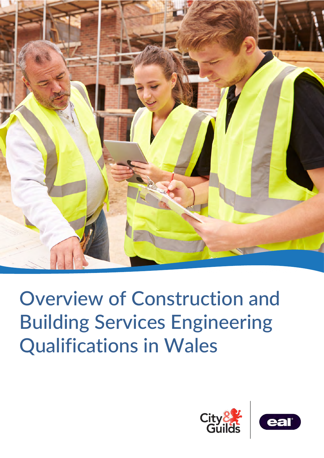

Overview of Construction and Building Services Engineering Qualifications in Wales



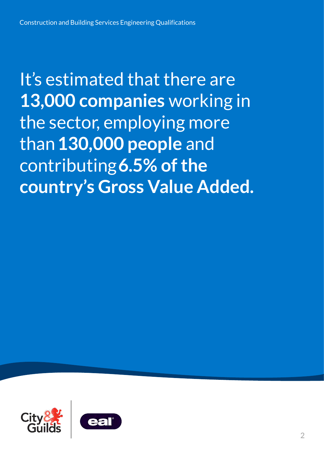It's estimated that there are **13,000 companies** working in the sector, employing more than **130,000 people** and contributing **6.5% of the country's Gross Value Added.**

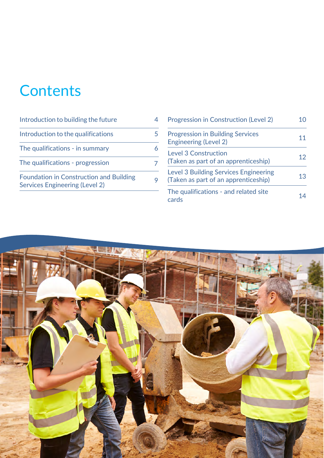# **Contents**

| Introduction to building the future                                                     |  |
|-----------------------------------------------------------------------------------------|--|
| Introduction to the qualifications                                                      |  |
| The qualifications - in summary                                                         |  |
| The qualifications - progression                                                        |  |
| <b>Foundation in Construction and Building</b><br><b>Services Engineering (Level 2)</b> |  |

| <b>Progression in Construction (Level 2)</b>                                         |    |
|--------------------------------------------------------------------------------------|----|
| <b>Progression in Building Services</b><br><b>Engineering (Level 2)</b>              |    |
| Level 3 Construction<br>(Taken as part of an apprenticeship)                         | 12 |
| <b>Level 3 Building Services Engineering</b><br>(Taken as part of an apprenticeship) | 13 |
| The qualifications - and related site<br>cards                                       |    |

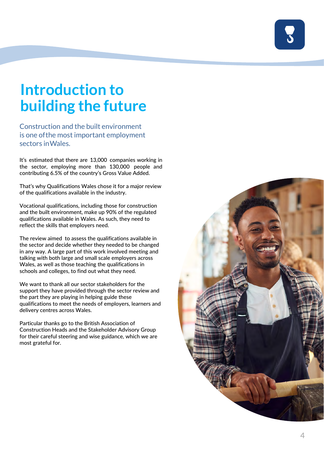# <span id="page-3-0"></span>**Introduction to building the future**

Construction and the built environment is one of the most important employment sectors in Wales.

It's estimated that there are 13,000 companies working in the sector, employing more than 130,000 people and contributing 6.5% of the country's Gross Value Added.

That's why Qualifications Wales chose it for a major review of the qualifications available in the industry.

Vocational qualifications, including those for construction and the built environment, make up 90% of the regulated qualifications available in Wales. As such, they need to reflect the skills that employers need.

The review aimed to assess the qualifications available in the sector and decide whether they needed to be changed in any way. A large part of this work involved meeting and talking with both large and small scale employers across Wales, as well as those teaching the qualifications in schools and colleges, to find out what they need.

We want to thank all our sector stakeholders for the support they have provided through the sector review and the part they are playing in helping guide these qualifications to meet the needs of employers, learners and delivery centres across Wales.

Particular thanks go to the British Association of Construction Heads and the Stakeholder Advisory Group for their careful steering and wise guidance, which we are most grateful for.

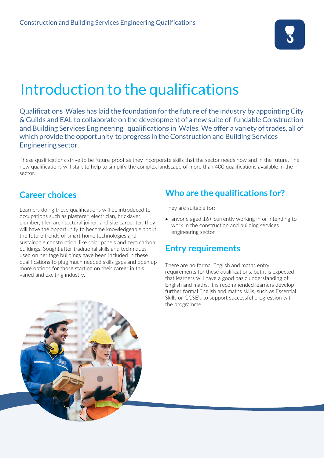

### <span id="page-4-0"></span>Introduction to the qualifications

Qualifications Wales has laid the foundation for the future of the industry by appointing City & Guilds and EAL to collaborate on the development of a new suite of fundable Construction and Building Services Engineering qualifications in Wales. We offer a variety of trades, all of which provide the opportunity to progress in the Construction and Building Services Engineering sector.

These qualifications strive to be future-proof as they incorporate skills that the sector needs now and in the future. The new qualifications will start to help to simplify the complex landscape of more than 400 qualifications available in the sector.

#### **Career choices**

Learners doing these qualifications will be introduced to occupations such as plasterer, electrician, bricklayer, plumber, tiler, architectural joiner, and site carpenter, they will have the opportunity to become knowledgeable about the future trends of smart home technologies and sustainable construction, like solar panels and zero carbon buildings. Sought after traditional skills and techniques used on heritage buildings have been included in these qualifications to plug much needed skills gaps and open up more options for those starting on their career in this varied and exciting industry.

#### **Who are the qualifications for?**

They are suitable for:

• anyone aged 16+ currently working in or intending to work in the construction and building services engineering sector

### **Entry requirements**

There are no formal English and maths entry requirements for these qualifications, but it is expected that learners will have a good basic understanding of English and maths. It is recommended learners develop further formal English and maths skills, such as Essential Skills or GCSE's to support successful progression with the programme.

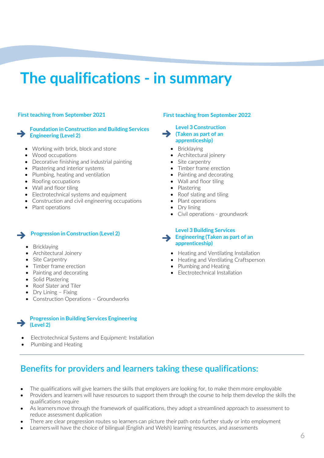# <span id="page-5-0"></span>**The qualifications - in summary**

#### **Foundation in Construction and Building Services [Engineering \(Level 2\)](#page-8-0)**

- Working with brick, block and stone
- Wood occupations
- Decorative finishing and industrial painting
- Plastering and interior systems
- Plumbing, heating and ventilation
- Roofing occupations
- Wall and floor tiling
- Electrotechnical systems and equipment
- Construction and civil engineering occupations
- Plant operations

#### **[Progression in Construction \(Level 2\)](#page-9-0)**

- Bricklaying
- Architectural Joinery
- Site Carpentry
- Timber frame erection
- Painting and decorating
- Solid Plastering
- Roof Slater and Tiler
- Dry Lining Fixing
- Construction Operations Groundworks

#### **Progression in Building Services Engineering [\(Level 2\)](#page-10-0)**

- Electrotechnical Systems and Equipment: Installation
- Plumbing and Heating

#### **First teaching from September 2021 First teaching from September 2022**

#### **[Level 3 Construction](#page-11-0)  ([Taken as part of an](#page-11-0) apprenticeship)**

- Bricklaying
- Architectural joinery
- Site carpentry
- Timber frame erection
- Painting and decorating
- Wall and floor tiling
- Plastering
- Roof slating and tiling
- Plant operations
- Dry lining
- Civil operations groundwork

**[Level 3 Building Services](#page-12-0)  Engineering [\(Taken as part of an](#page-12-0) apprenticeship)**

- Heating and Ventilating Installation
- Heating and Ventilating Craftsperson
- Plumbing and Heating
- Electrotechnical Installation

### **Benefits for providers and learners taking these qualifications:**

- The qualifications will give learners the skills that employers are looking for, to make them more employable
- Providers and learners will have resources to support them through the course to help them develop the skills the qualifications require
- As learners move through the framework of qualifications, they adopt a streamlined approach to assessment to reduce assessment duplication
- There are clear progression routes so learners can picture their path onto further study or into employment
- Learners will have the choice of bilingual (English and Welsh) learning resources, and assessments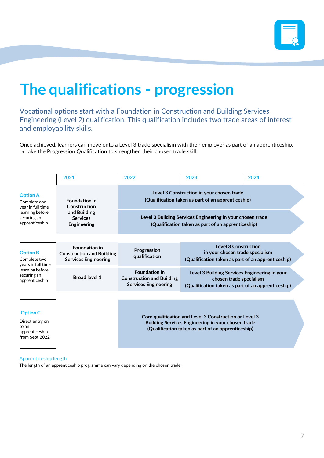

# <span id="page-6-0"></span>**The qualifications - progression**

Vocational options start with a Foundation in Construction and Building Services Engineering (Level 2) qualification. This qualification includes two trade areas of interest and employability skills.

Once achieved, learners can move onto a Level 3 trade specialism with their employer as part of an apprenticeship, or take the Progression Qualification to strengthen their chosen trade skill.

|                                                                                                           | 2021                                                                                          | 2022                                                                                                                                                               | 2023                                                                                                                           | 2024 |
|-----------------------------------------------------------------------------------------------------------|-----------------------------------------------------------------------------------------------|--------------------------------------------------------------------------------------------------------------------------------------------------------------------|--------------------------------------------------------------------------------------------------------------------------------|------|
| <b>Option A</b><br>Complete one<br>year in full time<br>learning before<br>securing an<br>apprenticeship  | <b>Foundation in</b><br>Construction<br>and Building<br><b>Services</b><br><b>Engineering</b> | Level 3 Construction in your chosen trade<br>(Qualification taken as part of an apprenticeship)                                                                    |                                                                                                                                |      |
|                                                                                                           |                                                                                               | Level 3 Building Services Engineering in your chosen trade<br>(Qualification taken as part of an apprenticeship)                                                   |                                                                                                                                |      |
| <b>Option B</b><br>Complete two<br>years in full time<br>learning before<br>securing an<br>apprenticeship | <b>Foundation in</b><br><b>Construction and Building</b><br><b>Services Engineering</b>       | Progression<br>qualification                                                                                                                                       | <b>Level 3 Construction</b><br>in your chosen trade specialism<br>(Qualification taken as part of an apprenticeship)           |      |
|                                                                                                           | <b>Broad level 1</b>                                                                          | <b>Foundation in</b><br><b>Construction and Building</b><br><b>Services Engineering</b>                                                                            | Level 3 Building Services Engineering in your<br>chosen trade specialism<br>(Qualification taken as part of an apprenticeship) |      |
|                                                                                                           |                                                                                               |                                                                                                                                                                    |                                                                                                                                |      |
| <b>Option C</b><br>Direct entry on<br>to an<br>apprenticeship<br>from Sept 2022                           |                                                                                               | Core qualification and Level 3 Construction or Level 3<br>Building Services Engineering in your chosen trade<br>(Qualification taken as part of an apprenticeship) |                                                                                                                                |      |
|                                                                                                           |                                                                                               |                                                                                                                                                                    |                                                                                                                                |      |

#### Apprenticeship length

The length of an apprenticeship programme can vary depending on the chosen trade.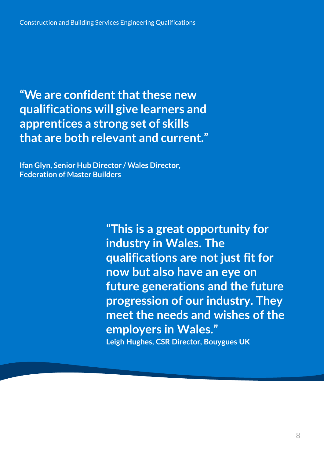<span id="page-7-0"></span>**"We are confident that these new qualifications will give learners and apprentices a strong set of skills that are both relevant and current."**

**Ifan Glyn, Senior Hub Director / Wales Director, Federation of Master Builders**

> **"This is a great opportunity for industry in Wales. The qualifications are not just fit for now but also have an eye on future generations and the future progression of our industry. They meet the needs and wishes of the employers in Wales." Leigh Hughes, CSR Director, Bouygues UK**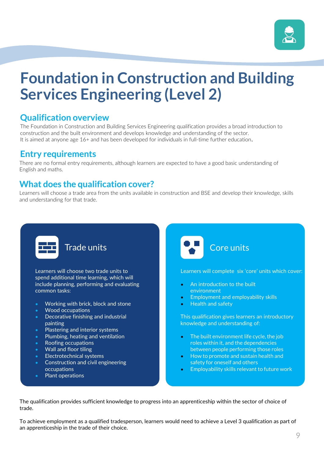

## <span id="page-8-0"></span>**Foundation in Construction and Building Services Engineering (Level 2)**

#### **Qualification overview**

The Foundation in Construction and Building Services Engineering qualification provides a broad introduction to construction and the built environment and develops knowledge and understanding of the sector. It is aimed at anyone age 16+ and has been developed for individuals in full-time further education.

#### **Entry requirements**

There are no formal entry requirements, although learners are expected to have a good basic understanding of English and maths.

#### **What does the qualification cover?**

Learners will choose a trade area from the units available in construction and BSE and develop their knowledge, skills and understanding for that trade.



#### Trade units

Learners will choose two trade units to spend additional time learning, which will include planning, performing and evaluating common tasks:

- **•** Working with brick, block and stone
- **•** Wood occupations
- **•** Decorative finishing and industrial painting
- **•** Plastering and interior systems
- **•** Plumbing, heating and ventilation
- **•** Roofing occupations
- **•** Wall and floor tiling
- **•** Electrotechnical systems
- **•** Construction and civil engineering occupations
- **•** Plant operations



Learners will complete six 'core' units which cover:

- **•** An introduction to the built environment
- **•** Employment and employability skills
- **•** Health and safety

This qualification gives learners an introductory knowledge and understanding of:

- The built environment life cycle, the job roles within it, and the dependencies between people performing those roles
- How to promote and sustain health and safety for oneself and others
- Employability skills relevant to future work

The qualification provides sufficient knowledge to progress into an apprenticeship within the sector of choice of trade.

To achieve employment as a qualified tradesperson, learners would need to achieve a Level 3 qualification as part of an apprenticeship in the trade of their choice.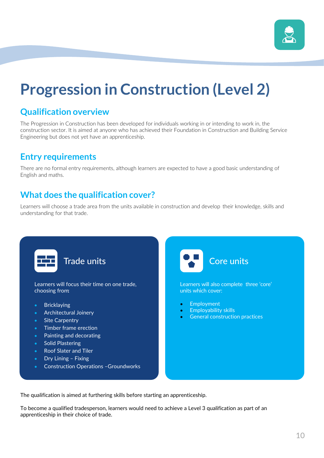

# <span id="page-9-0"></span>**Progression in Construction (Level 2)**

### **Qualification overview**

The Progression in Construction has been developed for individuals working in or intending to work in, the construction sector. It is aimed at anyone who has achieved their Foundation in Construction and Building Service Engineering but does not yet have an apprenticeship.

### **Entry requirements**

There are no formal entry requirements, although learners are expected to have a good basic understanding of English and maths.

### **What does the qualification cover?**

Learners will choose a trade area from the units available in construction and develop their knowledge, skills and understanding for that trade.



To become a qualified tradesperson, learners would need to achieve a Level 3 qualification as part of an apprenticeship in their choice of trade.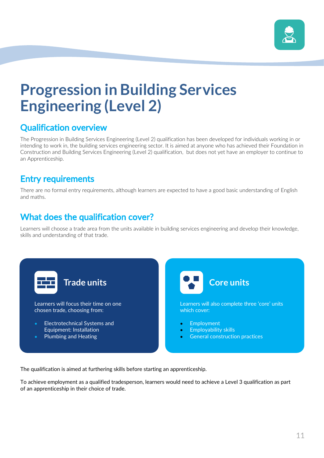

# <span id="page-10-0"></span>**Progression in Building Services Engineering (Level 2)**

### Qualification overview

The Progression in Building Services Engineering (Level 2) qualification has been developed for individuals working in or intending to work in, the building services engineering sector. It is aimed at anyone who has achieved their Foundation in Construction and Building Services Engineering (Level 2) qualification, but does not yet have an employer to continue to an Apprenticeship.

### Entry requirements

There are no formal entry requirements, although learners are expected to have a good basic understanding of English and maths.

### What does the qualification cover?

Learners will choose a trade area from the units available in building services engineering and develop their knowledge, skills and understanding of that trade.



The qualification is aimed at furthering skills before starting an apprenticeship.

To achieve employment as a qualified tradesperson, learners would need to achieve a Level 3 qualification as part of an apprenticeship in their choice of trade.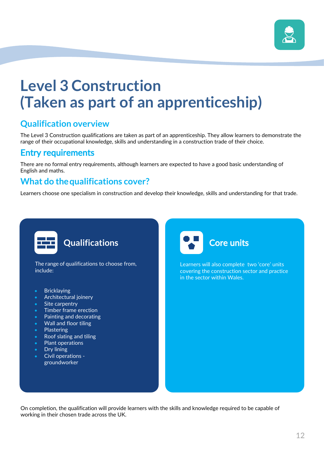

## <span id="page-11-0"></span>**Level 3 Construction (Taken as part of an apprenticeship)**

### **Qualification overview**

The Level 3 Construction qualifications are taken as part of an apprenticeship. They allow learners to demonstrate the range of their occupational knowledge, skills and understanding in a construction trade of their choice.

#### Entry requirements

There are no formal entry requirements, although learners are expected to have a good basic understanding of English and maths.

#### **What do the qualifications cover?**

Learners choose one specialism in construction and develop their knowledge, skills and understanding for that trade.



On completion, the qualification will provide learners with the skills and knowledge required to be capable of working in their chosen trade across the UK.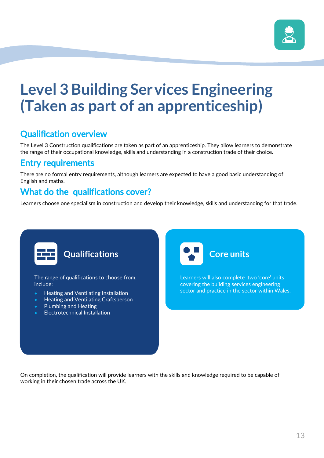

# <span id="page-12-0"></span>**Level 3 Building Ser vices Engineering (Taken as part of an apprenticeship)**

### Qualification overview

The Level 3 Construction qualifications are taken as part of an apprenticeship. They allow learners to demonstrate the range of their occupational knowledge, skills and understanding in a construction trade of their choice.

#### Entry requirements

There are no formal entry requirements, although learners are expected to have a good basic understanding of English and maths.

#### What do the qualifications cover?

Learners choose one specialism in construction and develop their knowledge, skills and understanding for that trade.



On completion, the qualification will provide learners with the skills and knowledge required to be capable of working in their chosen trade across the UK.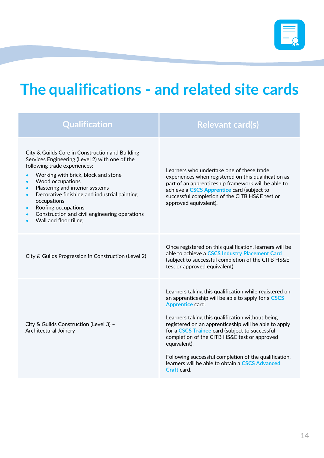$\blacksquare$ 

### **The qualifications - and related site cards**

| <b>Qualification</b>                                                                                                                                                                                                                                                                                                                                                                                                                                 | <b>Relevant card(s)</b>                                                                                                                                                                                                                                                                                                                                                                                                                                                                    |
|------------------------------------------------------------------------------------------------------------------------------------------------------------------------------------------------------------------------------------------------------------------------------------------------------------------------------------------------------------------------------------------------------------------------------------------------------|--------------------------------------------------------------------------------------------------------------------------------------------------------------------------------------------------------------------------------------------------------------------------------------------------------------------------------------------------------------------------------------------------------------------------------------------------------------------------------------------|
| City & Guilds Core in Construction and Building<br>Services Engineering (Level 2) with one of the<br>following trade experiences:<br>Working with brick, block and stone<br>Wood occupations<br>$\bullet$<br>Plastering and interior systems<br>$\bullet$<br>Decorative finishing and industrial painting<br>$\bullet$<br>occupations<br>Roofing occupations<br>Construction and civil engineering operations<br>$\bullet$<br>Wall and floor tiling. | Learners who undertake one of these trade<br>experiences when registered on this qualification as<br>part of an apprenticeship framework will be able to<br>achieve a CSCS Apprentice card (subject to<br>successful completion of the CITB HS&E test or<br>approved equivalent).                                                                                                                                                                                                          |
| City & Guilds Progression in Construction (Level 2)                                                                                                                                                                                                                                                                                                                                                                                                  | Once registered on this qualification, learners will be<br>able to achieve a CSCS Industry Placement Card<br>(subject to successful completion of the CITB HS&E<br>test or approved equivalent).                                                                                                                                                                                                                                                                                           |
| City & Guilds Construction (Level 3) -<br>Architectural Joinery                                                                                                                                                                                                                                                                                                                                                                                      | Learners taking this qualification while registered on<br>an apprenticeship will be able to apply for a CSCS<br>Apprentice card.<br>Learners taking this qualification without being<br>registered on an apprenticeship will be able to apply<br>for a CSCS Trainee card (subject to successful<br>completion of the CITB HS&E test or approved<br>equivalent).<br>Following successful completion of the qualification,<br>learners will be able to obtain a CSCS Advanced<br>Craft card. |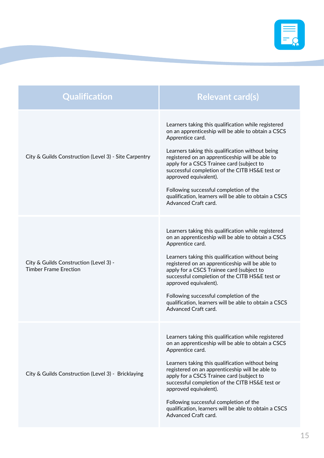

| <b>Qualification</b>                                                   | <b>Relevant card(s)</b>                                                                                                                                                                                                                                                                                                                                                                                                                                                                 |
|------------------------------------------------------------------------|-----------------------------------------------------------------------------------------------------------------------------------------------------------------------------------------------------------------------------------------------------------------------------------------------------------------------------------------------------------------------------------------------------------------------------------------------------------------------------------------|
| City & Guilds Construction (Level 3) - Site Carpentry                  | Learners taking this qualification while registered<br>on an apprenticeship will be able to obtain a CSCS<br>Apprentice card.<br>Learners taking this qualification without being<br>registered on an apprenticeship will be able to<br>apply for a CSCS Trainee card (subject to<br>successful completion of the CITB HS&E test or<br>approved equivalent).<br>Following successful completion of the<br>qualification, learners will be able to obtain a CSCS<br>Advanced Craft card. |
| City & Guilds Construction (Level 3) -<br><b>Timber Frame Erection</b> | Learners taking this qualification while registered<br>on an apprenticeship will be able to obtain a CSCS<br>Apprentice card.<br>Learners taking this qualification without being<br>registered on an apprenticeship will be able to<br>apply for a CSCS Trainee card (subject to<br>successful completion of the CITB HS&E test or<br>approved equivalent).<br>Following successful completion of the<br>qualification, learners will be able to obtain a CSCS<br>Advanced Craft card. |
| City & Guilds Construction (Level 3) - Bricklaying                     | Learners taking this qualification while registered<br>on an apprenticeship will be able to obtain a CSCS<br>Apprentice card.<br>Learners taking this qualification without being<br>registered on an apprenticeship will be able to<br>apply for a CSCS Trainee card (subject to<br>successful completion of the CITB HS&E test or<br>approved equivalent).<br>Following successful completion of the<br>qualification, learners will be able to obtain a CSCS<br>Advanced Craft card. |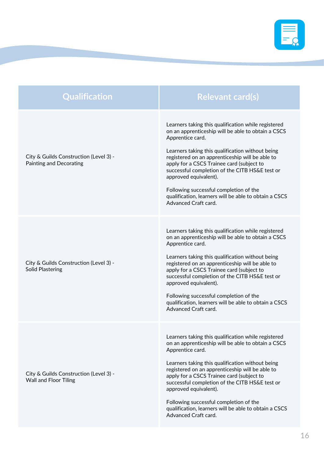

| <b>Qualification</b>                                                     | <b>Relevant card(s)</b>                                                                                                                                                                                                                                                                                                                                                                                                                                                                 |
|--------------------------------------------------------------------------|-----------------------------------------------------------------------------------------------------------------------------------------------------------------------------------------------------------------------------------------------------------------------------------------------------------------------------------------------------------------------------------------------------------------------------------------------------------------------------------------|
| City & Guilds Construction (Level 3) -<br><b>Painting and Decorating</b> | Learners taking this qualification while registered<br>on an apprenticeship will be able to obtain a CSCS<br>Apprentice card.<br>Learners taking this qualification without being<br>registered on an apprenticeship will be able to<br>apply for a CSCS Trainee card (subject to<br>successful completion of the CITB HS&E test or<br>approved equivalent).<br>Following successful completion of the<br>qualification, learners will be able to obtain a CSCS<br>Advanced Craft card. |
| City & Guilds Construction (Level 3) -<br><b>Solid Plastering</b>        | Learners taking this qualification while registered<br>on an apprenticeship will be able to obtain a CSCS<br>Apprentice card.<br>Learners taking this qualification without being<br>registered on an apprenticeship will be able to<br>apply for a CSCS Trainee card (subject to<br>successful completion of the CITB HS&E test or<br>approved equivalent).<br>Following successful completion of the<br>qualification, learners will be able to obtain a CSCS<br>Advanced Craft card. |
| City & Guilds Construction (Level 3) -<br><b>Wall and Floor Tiling</b>   | Learners taking this qualification while registered<br>on an apprenticeship will be able to obtain a CSCS<br>Apprentice card.<br>Learners taking this qualification without being<br>registered on an apprenticeship will be able to<br>apply for a CSCS Trainee card (subject to<br>successful completion of the CITB HS&E test or<br>approved equivalent).<br>Following successful completion of the<br>qualification, learners will be able to obtain a CSCS<br>Advanced Craft card. |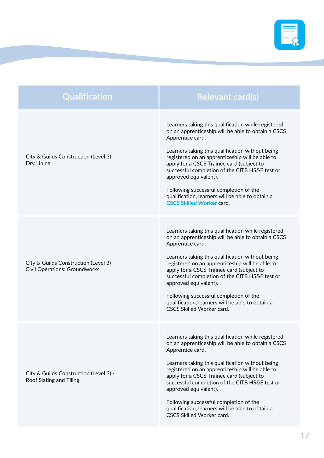

| Qualification                                                                  | <b>Relevant card(s)</b>                                                                                                                                                                                                                                                                                                                                                                                                                                                                        |
|--------------------------------------------------------------------------------|------------------------------------------------------------------------------------------------------------------------------------------------------------------------------------------------------------------------------------------------------------------------------------------------------------------------------------------------------------------------------------------------------------------------------------------------------------------------------------------------|
| City & Guilds Construction (Level 3) -<br>Dry Lining                           | Learners taking this qualification while registered<br>on an apprenticeship will be able to obtain a CSCS<br>Apprentice card.<br>Learners taking this qualification without being<br>registered on an apprenticeship will be able to<br>apply for a CSCS Trainee card (subject to<br>successful completion of the CITB HS&E test or<br>approved equivalent).<br>Following successful completion of the<br>qualification, learners will be able to obtain a<br><b>CSCS Skilled Worker card.</b> |
| City & Guilds Construction (Level 3) -<br><b>Civil Operations: Groundworks</b> | Learners taking this qualification while registered<br>on an apprenticeship will be able to obtain a CSCS<br>Apprentice card.<br>Learners taking this qualification without being<br>registered on an apprenticeship will be able to<br>apply for a CSCS Trainee card (subject to<br>successful completion of the CITB HS&E test or<br>approved equivalent).<br>Following successful completion of the<br>qualification, learners will be able to obtain a<br><b>CSCS Skilled Worker card.</b> |
| City & Guilds Construction (Level 3) -<br>Roof Slating and Tiling              | Learners taking this qualification while registered<br>on an apprenticeship will be able to obtain a CSCS<br>Apprentice card.<br>Learners taking this qualification without being<br>registered on an apprenticeship will be able to<br>apply for a CSCS Trainee card (subject to<br>successful completion of the CITB HS&E test or<br>approved equivalent).<br>Following successful completion of the<br>qualification, learners will be able to obtain a<br>CSCS Skilled Worker card.        |